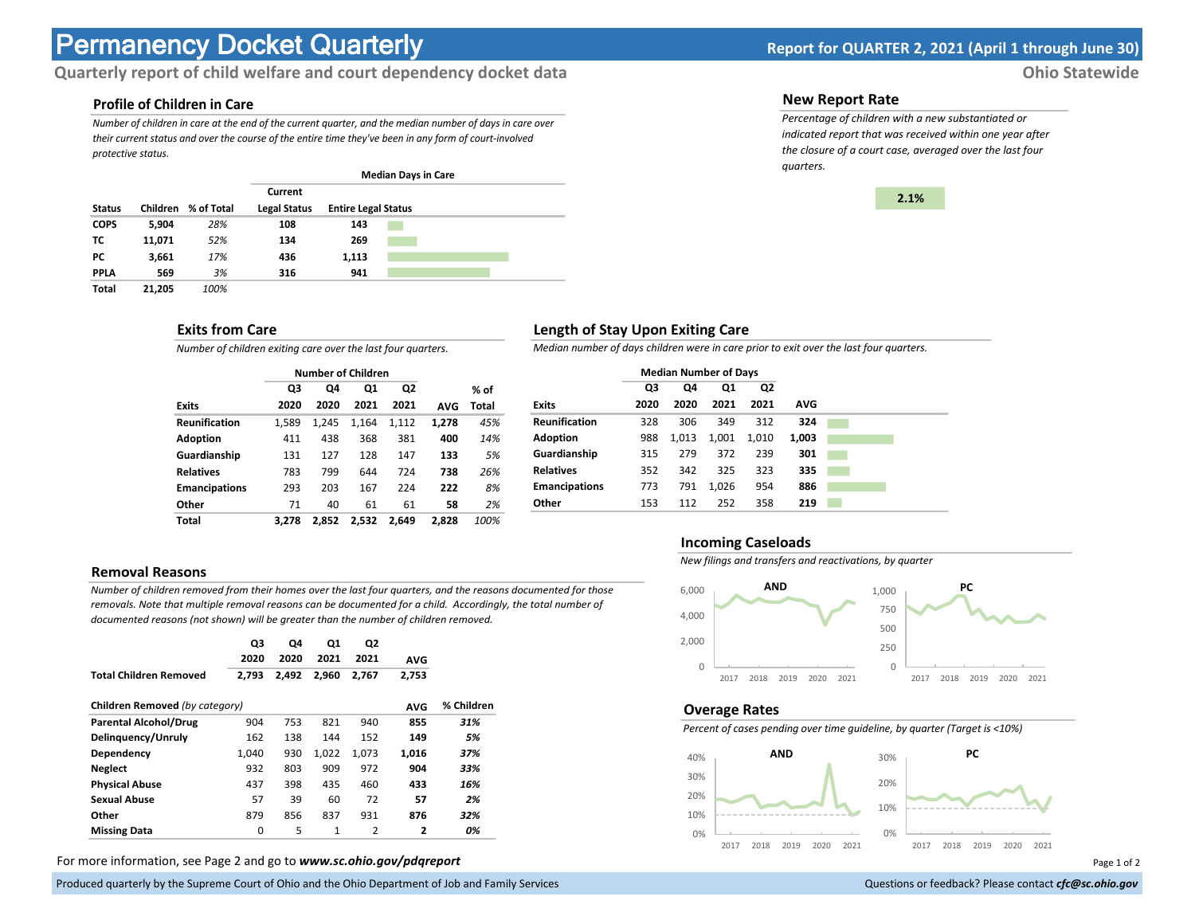# **Permanency Docket Quarterly Report for QUARTER 2, 2021 (April 1 through June 30)**

# **Quarterly report of child welfare and court dependency docket data** *Ohio Statewide*

### **Profile of Children in Care**

*Number of children in care at the end of the current quarter, and the median number of days in care over their current status and over the course of the entire time they've been in any form of court-involved protective status.*

|               |                 |            |                     |                            | <b>Median Days in Care</b> |  |  |
|---------------|-----------------|------------|---------------------|----------------------------|----------------------------|--|--|
|               |                 |            | Current             |                            |                            |  |  |
| <b>Status</b> | <b>Children</b> | % of Total | <b>Legal Status</b> | <b>Entire Legal Status</b> |                            |  |  |
| <b>COPS</b>   | 5,904           | 28%        | 108                 | 143                        |                            |  |  |
| тс            | 11,071          | 52%        | 134                 | 269                        |                            |  |  |
| РC            | 3,661           | 17%        | 436                 | 1,113                      |                            |  |  |
| <b>PPLA</b>   | 569             | 3%         | 316                 | 941                        |                            |  |  |
| <b>Total</b>  | 21,205          | 100%       |                     |                            |                            |  |  |

## **Exits from Care**

*Number of children exiting care over the last four quarters.*

|                      |       | <b>Number of Children</b> |       |                |            |       |
|----------------------|-------|---------------------------|-------|----------------|------------|-------|
|                      | Q3    | Q4                        | Q1    | Q <sub>2</sub> |            | % of  |
| <b>Exits</b>         | 2020  | 2020                      | 2021  | 2021           | <b>AVG</b> | Total |
| <b>Reunification</b> | 1,589 | 1,245                     | 1.164 | 1,112          | 1,278      | 45%   |
| Adoption             | 411   | 438                       | 368   | 381            | 400        | 14%   |
| Guardianship         | 131   | 127                       | 128   | 147            | 133        | 5%    |
| <b>Relatives</b>     | 783   | 799                       | 644   | 724            | 738        | 26%   |
| <b>Emancipations</b> | 293   | 203                       | 167   | 224            | 222        | 8%    |
| Other                | 71    | 40                        | 61    | 61             | 58         | 2%    |
| Total                | 3.278 | 2.852                     | 2.532 | 2.649          | 2.828      | 100%  |

#### **Removal Reasons**

*Number of children removed from their homes over the last four quarters, and the reasons documented for those removals. Note that multiple removal reasons can be documented for a child. Accordingly, the total number of documented reasons (not shown) will be greater than the number of children removed.* 

|                                | Q3    | Q4    | Q1           | Q2    |                |            |
|--------------------------------|-------|-------|--------------|-------|----------------|------------|
|                                | 2020  | 2020  | 2021         | 2021  | <b>AVG</b>     |            |
| <b>Total Children Removed</b>  | 2,793 | 2,492 | 2,960        | 2,767 | 2,753          |            |
| Children Removed (by category) |       |       |              |       | <b>AVG</b>     | % Children |
| <b>Parental Alcohol/Drug</b>   | 904   | 753   | 821          | 940   | 855            | 31%        |
| Delinguency/Unruly             | 162   | 138   | 144          | 152   | 149            | 5%         |
| Dependency                     | 1,040 | 930   | 1.022        | 1.073 | 1,016          | 37%        |
| <b>Neglect</b>                 | 932   | 803   | 909          | 972   | 904            | 33%        |
| <b>Physical Abuse</b>          | 437   | 398   | 435          | 460   | 433            | 16%        |
| <b>Sexual Abuse</b>            | 57    | 39    | 60           | 72    | 57             | 2%         |
| Other                          | 879   | 856   | 837          | 931   | 876            | 32%        |
| <b>Missing Data</b>            | 0     | 5     | $\mathbf{1}$ | 2     | $\overline{2}$ | 0%         |

For more information, see Page 2 and go to *www.sc.ohio.gov/pdqreport* examples and the example of 2 and 2 and 3 and 2 and 3 and 2 and 3 and 2 and 3 and 3 and 3 and 3 and 3 and 3 and 3 and 3 and 3 and 3 and 3 and 3 and 3 a

Produced quarterly by the Supreme Court of Ohio and the Ohio Department of Job and Family Services Questions or feedback? Please contact *cfc@sc.ohio.gov* **Questions or feedback? Please contact** *cfc@sc.ohio.gov* 

#### **New Report Rate**

*Percentage of children with a new substantiated or indicated report that was received within one year after the closure of a court case, averaged over the last four quarters.*



## **Length of Stay Upon Exiting Care**

*Median number of days children were in care prior to exit over the last four quarters.*

|                      | <b>Median Number of Days</b> |       |       |       |            |  |
|----------------------|------------------------------|-------|-------|-------|------------|--|
|                      | Q3                           | Q4    | Q1    | Q2    |            |  |
| <b>Exits</b>         | 2020                         | 2020  | 2021  | 2021  | <b>AVG</b> |  |
| <b>Reunification</b> | 328                          | 306   | 349   | 312   | 324        |  |
| <b>Adoption</b>      | 988                          | 1,013 | 1,001 | 1,010 | 1,003      |  |
| Guardianship         | 315                          | 279   | 372   | 239   | 301        |  |
| <b>Relatives</b>     | 352                          | 342   | 325   | 323   | 335        |  |
| <b>Emancipations</b> | 773                          | 791   | 1,026 | 954   | 886        |  |
| Other                | 153                          | 112   | 252   | 358   | 219        |  |

#### **Incoming Caseloads**

*New filings and transfers and reactivations, by quarter*



#### **Overage Rates**

*Percent of cases pending over time guideline, by quarter (Target is <10%)*